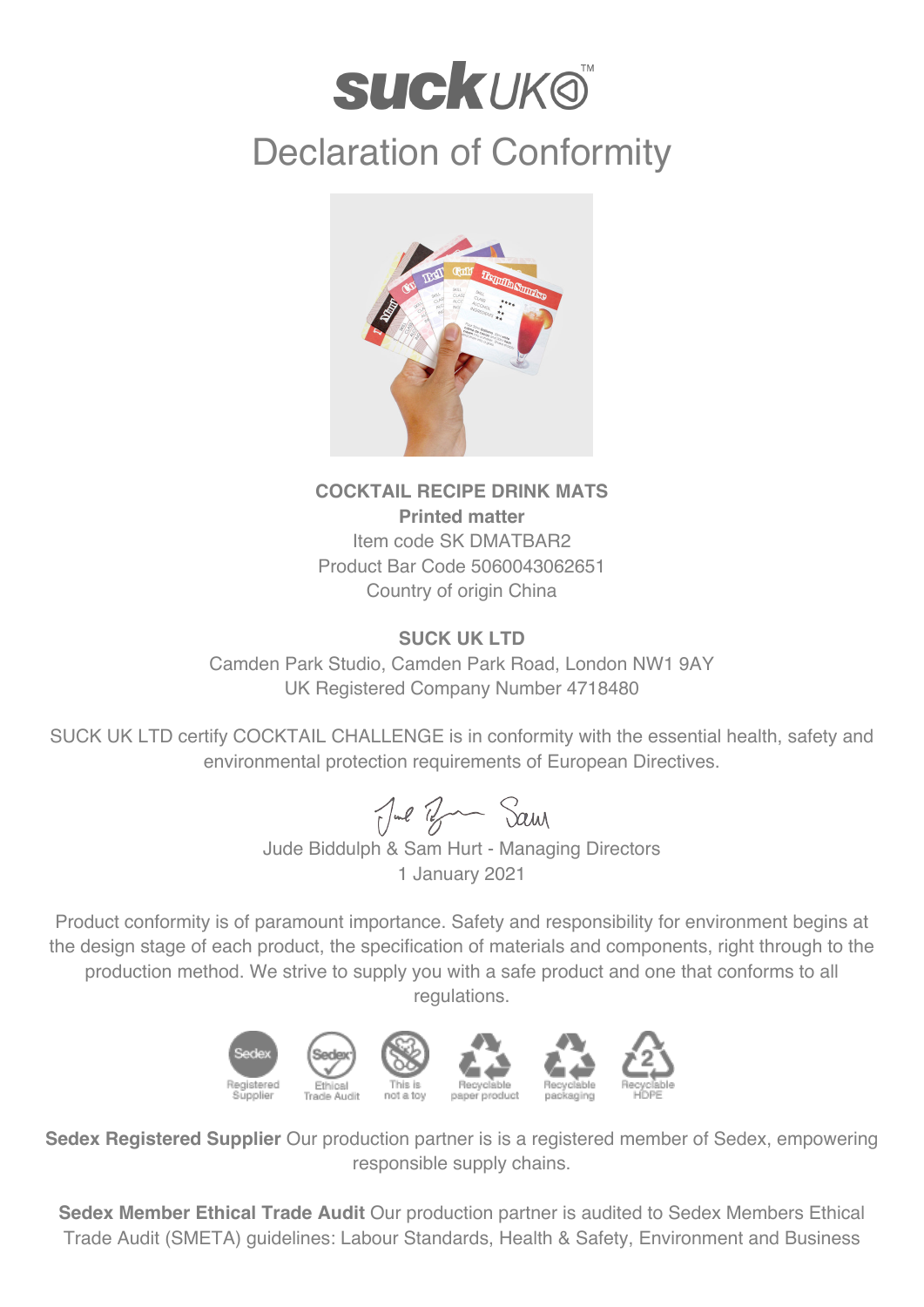# **suckuk®**

## Declaration of Conformity



### **COCKTAIL RECIPE DRINK MATS Printed matter** Item code SK DMATBAR2 Product Bar Code 5060043062651 Country of origin China

### **SUCK UK LTD**

Camden Park Studio, Camden Park Road, London NW1 9AY UK Registered Company Number 4718480

SUCK UK LTD certify COCKTAIL CHALLENGE is in conformity with the essential health, safety and environmental protection requirements of European Directives.

Jul Ban Sam

Jude Biddulph & Sam Hurt - Managing Directors 1 January 2021

Product conformity is of paramount importance. Safety and responsibility for environment begins at the design stage of each product, the specification of materials and components, right through to the production method. We strive to supply you with a safe product and one that conforms to all regulations.



**Sedex Registered Supplier** Our production partner is is a registered member of Sedex, empowering responsible supply chains.

**Sedex Member Ethical Trade Audit** Our production partner is audited to Sedex Members Ethical Trade Audit (SMETA) guidelines: Labour Standards, Health & Safety, Environment and Business